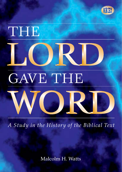



A Study in the History of the Biblical Text

Malcolm H. Watts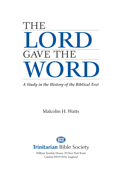

*A Study in the History of the Biblical Text*

Malcolm H. Watts



William Tyndale House, 29 Deer Park Road London SW19 3NN, England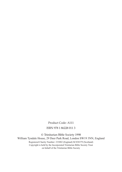Product Code: A111 ISBN 978 1 86228 011 3

© Trinitarian Bible Society 1998

William Tyndale House, 29 Deer Park Road, London SW19 3NN, England Registered Charity Number: 233082 (England) SC038379 (Scotland) Copyright is held by the Incorporated Trinitarian Bible Society Trust on behalf of the Trinitarian Bible Society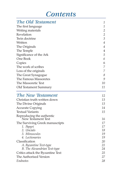# *Contents*

| The Old Testament                                                                                  | 1                                                |                |
|----------------------------------------------------------------------------------------------------|--------------------------------------------------|----------------|
| The first language<br>Writing materials<br>Revelation<br>Twin doctrine<br>Written<br>The Originals | $\mathbf{1}$                                     |                |
|                                                                                                    | $\mathfrak{2}$<br>$\mathbf{2}$<br>$\mathfrak{Z}$ |                |
|                                                                                                    |                                                  | 4              |
|                                                                                                    |                                                  | $\overline{4}$ |
|                                                                                                    | The Temple                                       | $\overline{4}$ |
|                                                                                                    | Significance of the Ark                          | 5              |
| One Book<br>Copies<br>The work of scribes<br>Loss of the originals                                 | 6                                                |                |
|                                                                                                    | 6                                                |                |
|                                                                                                    | 7                                                |                |
|                                                                                                    | 7                                                |                |
| The Great Synagogue                                                                                | $\mathcal S$                                     |                |
| The Famous Massoretes                                                                              | 9                                                |                |
| The Massoretic Text                                                                                | 10                                               |                |
| Old Testament Summary                                                                              | 11                                               |                |
| The New Testament                                                                                  | 12                                               |                |
| Christian truth written down                                                                       | 13                                               |                |
| The Divine Originals                                                                               | 13                                               |                |
| <b>Accurate Copying</b>                                                                            | 14                                               |                |
| <b>Textual Variants</b>                                                                            | 15                                               |                |
|                                                                                                    |                                                  |                |
| Reproducing the authentic<br>New Testament Text                                                    | 16                                               |                |
| The Surviving Greek manuscripts                                                                    | 17                                               |                |
| 1. Papyri                                                                                          | 17                                               |                |
| 2. Uncials                                                                                         | 18                                               |                |
| 3. Minuscules                                                                                      | 19                                               |                |
| 4. Lectionaries                                                                                    | 19                                               |                |
| Classification<br>A. Byzantine Text-type                                                           | 20<br>21                                         |                |
| B. The Alexandrian Text-type                                                                       | 24                                               |                |
| Critics attack the Byzantine Text                                                                  | 25                                               |                |
| The Authorized Version                                                                             | 27                                               |                |

| The Authorised Version |    |
|------------------------|----|
| Endnotes               | 28 |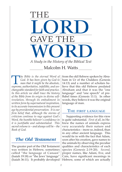

Malcolm H. Watts *A Study in the History of the Biblical Text*

**The Bible is the eternal Word of** God. It has been given by God to man that it might be the absolute, surreme. authoritative. infallible. and un-*God. It has been given by God to man that it might be the absolute, supreme, authoritative, infallible, and unchangeable standard for faith and practice. In this article we shall trace the history of the Bible from its origin in divine selfrevelation, through its embodiment in written form by supernatural inspiration, to its accurate transmission to this present age by providential preservation. It is our firm belief that, although the storms of criticism continue to rage against God's Word, the humble believer's confidence in it is justifiable and substantiated. This sacred volume is – and always will be – the Book of God.* 

# *The Old Testament*

The greater part of the Old Testament was written in Hebrew, sometimes called "the language of Canaan" (Isaiah 19:18) or "the Jews' language" (Isaiah 36:11). It probably developed Hebrew, some of which are actually

from the old Hebrew spoken by Abraham in Ur of the Chaldees (Genesis 14:13) and a number of scholars believe that this old Hebrew predated Abraham and that it was the "one language" and "one speech" of pre-Babel times (Genesis 11:1). In other words, they believe it was the original language of man.

#### THE FIRST LANGUAGE

Supporting evidence for this view is quite substantial. *First of all*, in Hebrew the names of animals express very accurately their nature and characteristics – more so, indeed, than in any other ancient language. This would tie in with the fact that Adam, soon after his creation, gave names to the animals by observing the peculiar qualities and characteristics of each species (Genesis 2:19-20). *Second*, proper names, like Adam, Eve, and Cain, have significant meanings in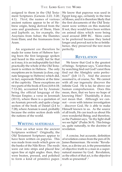assigned to them in the Old Testament Scriptures (Genesis 2:23; 3:20; 4:1). *Third*, the names of various ancient nations appear to be of Hebrew origin, being derived from the sons and grandsons of Shem, Ham and Japheth: as, for example, the Assyrians from Ashur; the Elamites from Elam; and the Aramaeans from Aram.

An argument *can* therefore be made for some form of Hebrew having been the first language spoken and heard in this world; but be that as it may, it is an indisputable fact that practically the whole of the Old Testament is written in Hebrew. The only exceptions are in Aramaic (a close, cognate language to Hebrew) which did, in fact, supersede Hebrew at the time of the captivity. These exceptions are two parts of the book of Ezra (4:8-6:18; 7:12-26), accounted for by Aramaic being the official language of the Persian Empire; a verse in Jeremiah (10:11), where there is a quotation of an Aramaic proverb; and quite a large section of the book of Daniel (2:4 to 7:28), where Aramaic is used, probably because the entire section deals with the nations of the world.

#### WRITING MATERIALS

Now on what were the ancient Scriptures written? Originally, the Old Testament Scriptures appear to have been written on papyrus. This was made from reeds which grew on the banks of the Nile River. The reeds were cut into strips and placed line upon line at right angles: then, they were beaten, pressed, and polished to form a kind of primitive paper. We know that papyrus was used in Egypt long ago, certainly in the time of Moses, and it is therefore likely that the first documents of the Old Testament were written on this material. If not, they would have been written on animal skins which were being used around 2000 BC. Skins came to be preferred because they lasted longer and proved not to be so brittle: hence, they preserved the text more perfectly.

#### **REVELATION**

We know that God is the greatest of beings. Scripture says, "Canst thou by searching find out God? canst thou find out the Almighty unto perfection?" (Job 11:7). And the answer assumed is, of course, No. We cannot with all our ingenuity discover the infinite God. He is far, far above our human comprehension. Does this mean, then, that we have no hope of knowing Him? Thankfully, it does not mean that. Although we cannot – even with intense investigation – discover God, He *is* able to make Himself known to us. As the source of all truth, He can teach us about His own wonderful Being; and therefore, as the Psalmist says, "In thy light shall we see light" (Psalm 36:9). This brings us, quite naturally, to the doctrine of revelation.

A concise, but accurate, definition of revelation comes from the pen of Dr. James Bannerman. He wrote: "Revelation, as a divine act, is the presentation of objective truth to a man in a supernatural manner by God. Revelation, as the effect of that act, is the objective truth so presented".1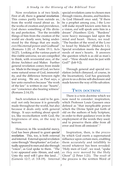Now revelation is of two kinds. First of all, there is *general revelation*. This comes partly from outside us, from the world round about us. In the works of creation and providence, God shows something of His divinity and perfection. "For the invisible things of him from the creation of the world are clearly seen, being understood by the things that are made, *even* His eternal power and Godhead" (Romans 1:20; cf. Psalm 19:1; Acts 14:27). Looking at the various parts of this visible universe, we are compelled to think, with reverential awe, of the divine Architect and Maker. Further general revelation comes from inside us. Made in the image of God, we have some natural sense of God, immortality, and the difference between right and wrong. We are, as Paul says, a law unto ourselves because "the work of the law" is written in our "hearts", our "conscience also bearing witness" (Romans 2:14,15).

Such revelation is said to be general: not only because it is generally made throughout the world, but also because it deals only with general things. It says nothing about specifics, like reconciliation with God, the forgiveness of sins, or the way to heaven.

However, in His wonderful mercy, God has been pleased to grant *special revelation*. This, too, is both external and internal. External special revelation came through "theophanies" as God actually appeared to men and also through "voices", as God spoke to them. "The LORD appeared unto Abram, and said, Unto thy seed will I give this land…"

 special revelation came to chosen men through visions, dreams, and burdens. As God Himself once said, "If there be a prophet among you, *I* the LORD will make myself known unto him in a vision, *and* will speak unto him in a dream" (Numbers 12:6). "Burdens" were heavy messages laid upon the mind and heart. Hence, we read: "The burden of the word of the LORD to Israel by Malachi" (Malachi 1:1). Special revelation meets the deepest needs of men's hearts. It answers the question which is as old as man's soul – "How should man be just with God?" (Job 9:2).

Through general and special revelation (which climaxed, of course, in the Incarnation), God has graciously given to us a divine self-disclosure and made known the way of His salvation.

### TWIN DOCTRINE

There is a twin doctrine which we now need to consider: inspiration, which Professor Louis Gaussen once defined as "that inexplicable power which the Divine Spirit put forth of old on the authors of holy Scripture, in order to their guidance even in the employment of the words they used, and to preserve them alike from all error and from all omission".2

(Genesis 12:7; cf. 3:8-19). Internal the process is the written Word of Inspiration, then, is the *process* by which God exerts a supernatural influence upon certain men, enabling them accurately and infallibly to record whatever has been revealed. "Holy men of God", we read, "spake *as they were* moved by the Holy Ghost" (2 Peter 1:21). The *result* of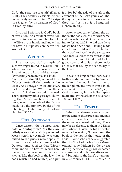God, "the scripture of truth" (Daniel 10:21). The apostle's classic statement immediately comes to mind: "All scripture *is* given by inspiration of God" (2 Timothy 3:16).

Inspired Scripture is God's book of revelation. As a result of revelation and inspiration, we are able to hold the Bible in our hands and know that we have in our possession the written Word of God.

### **WRITTEN**

The first recorded example of such writing is found in Exodus 17:14 where, soon after the war with the Amalekites, the Lord said to Moses: "Write this *for* a memorial in a book…" Again, in Exodus 24:4, we read how "Moses wrote all the words of the LORD". And yet again, in Exodus 34:27, the Lord said to him, "Write thou these words…" And so we could proceed. There are many other passages showing that Moses wrote more, much more, even the whole of the Pentateuch, i.e., the first five books of the Bible (e.g., Deuteronomy 31:9,24-26; Numbers 33:1,2).

# THE ORIGINALS

Once written, the inspired originals, or "autographs" (as they are called), were most carefully preserved. Moses' scroll, for example, was committed to the priests who deposited it near the sacred ark. We read in Deuteronomy 31:25,26 that "Moses commanded the Levites, which bare the ark of the covenant of the LORD, saying, Take this book of the law [the

it in [or, by] the side of the ark of the covenant of the LORD your God, that it may be there for a witness against thee" (cf. Joshua 1:8; 1 Kings 2:3; Nehemiah 8:1).

After Moses came Joshua, the author of the book which bears his name; and towards the end of his life, according to Joshua 24:26, he did exactly as Moses had once done. Having made an addition to Moses' scroll, he had that scroll replaced in the sanctuary. "And Joshua wrote these words in the book of the law of God, and took a great stone, and set it up there under an oak, that *was* by the sanctuary of the LORD".

It was not long before there was a further addition, this time by Samuel, who "told the people the manner of the kingdom, and wrote *it* in a book, and laid *it* up before the LORD" (i.e., in God's presence, in the holiest apartment and by the ark of the covenant; 1 Samuel 10:25).

### **THE TEMPLE**

book which he had written] and put In 2 Chronicles 34:14, it is called "a When the tabernacle was changed for the temple, these precious originals appear to have been transferred to the more permanent building. There may be a reference to them in 2 Kings 22:8, where Hilkiah, the high priest, is recorded as saying, "I have found the book of the law in the house of the LORD". Some scholars have suggested that this "book of the law" was Moses' original copy, hidden by the priests during the wicked reigns of Manasseh and Amon and only now discovered and brought to the king's attention.<sup>3</sup>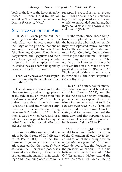book of the law of the LORD given by Moses". A more literal translation would be "the book of the law of the LORD *by the hand of Moses*".

### SIGNIFICANCE OF THE ARK

Dr. W. H. Green points out that keeping these documents in this holy place was "in accordance with the usage of the principal nations of antiquity". He alludes to the fact that "the Romans, Greeks, Phoenicians, Babylonians, and Egyptians had their sacred writings, which were jealously preserved in their temples, and entrusted to the care of officials specially designated for the purpose".4

There were, however, more important reasons why the scrolls were laid up in this place:

The ark was enshrined in the divine sanctuary; and writings placed at the side of the ark were therefore *peculiarly associated with God*. He is indeed the author of the Scriptures. What He has said and what the Scriptures say are one and the same thing (Romans 9:17; Galatians 3:2). Here, then, is God's written Word and, as a whole, these inspired books may be called "the oracles of God" (Romans 3:2; cf. Acts 7:38).

Pious Israelites understood the ark to be the throne of God (Exodus 25:22; Psalm 80:1). The fact that these writings were placed by the ark suggested that they were *divinely authoritative*. Scripture possesses tremendous authority. It demands of men unhesitating faith in its teachings and unfaltering obedience to its New Testament in Greek…being

precepts. Every soul of man must bow to it. "For he established a testimony in Jacob, and appointed a law in Israel, which he commanded our fathers, that they should make them known to their children…" (Psalm 78:5).

Furthermore, since these Scriptures were placed near the ark, in the heart of the tabernacle or temple, they were separated from all common books. They were manifestly declared to be *holy*. Certainly, God's written Word is pure and sublime. It is truth, without any mixture of error. "The words of the LORD *are* pure words: *as* silver tried in a furnace of earth, purified seven times" (Psalm 12:6). The inspired writings should always be revered as "the holy scriptures" (2 Timothy 3:15).

The ark, of course, had its mercyseat whereon sacrificial blood was sprinkled (Exodus 25:21); and the books were placed nearby, intimating perhaps that they explained the doctrine of atonement and set forth *the only way of approach to God*. "Thus it is written, and thus it behoved Christ to suffer, and to rise from the dead the third day: and that repentance and remission of sins should be preached in his name…" (Luke 24:46,47).

One final thought: the scrolls would have been under the wings of the Cherubim (Exodus 25:18-20), an indication of their being divinely *safeguarded and preserved*. Although often denied today, the doctrine of the preservation of Scripture is to be believed and boldly declared. "The Old Testament in Hebrew…and the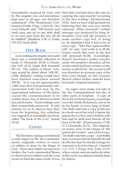immediately inspired by God, and by His singular care and providence kept pure in all ages, are therefore authentical" (The Westminster Confession of Faith, Chap. 1; Sect. 8). Our Lord Himself said: "Till heaven and earth pass, one jot or one tittle shall in no wise pass from the law, till all be fulfilled" (Matthew 5:18; cf. Psalm 119:152; Isaiah 40:8).

### ONE BOOK

God continued to inspire men until there was a wonderful collection of books (1 Chronicles 29:29; 2 Chronicles 9:29, 12:15; Isaiah 30:8; Jeremiah 36:1,2). The earliest of Moses' writings would be dated about 1450 BC, while Malachi's writing would have been finished somewhere around 450 BC. So it was for approximately 1,000 years that God graciously communicated with men and, by the supernatural influence of His Spirit, caused His communications to be written down, free of all error in both fact and doctrine. These writings were then wonderfully preserved. It only remains for us to observe here that, from the beginning, this collection was regarded as essentially one book, called "the book of the LORD" (Isaiah 34:16).

### **COPIES**

The first time copying is mentioned is with respect to the Ten Commandments, originally written of course on tablets of stone by the finger of God. Those first tablets having been broken, the Lord commanded Moses to chisel out new tablets and the Lord wrote on them the same words. It was

then that God laid down the rule for copying: the copy must be "according to the first writing" (Deuteronomy 10:4). And we have solid grounds for believing that this rule was strictly enforced. When Jeremiah's written message was destroyed by King Jehoiakim, God told the prophet to make another copy but, in doing so, he stipulated that it had to be an exact copy. "Take thee again another roll", he said, "and write in it all the former words that were in the first roll" (Jeremiah 36:28). Accordingly, Baruch (Jeremiah's scribe) rewrote, under the prophet's dictation, all the words which had been written on the former scroll (36:32 – the second scroll was therefore an accurate copy of the first, even though on this occasion Baruch added further material from Jeremiah's inspired ministry).

So copies were made, not only of the Ten Commandments but also of other parts of Scripture. A copy of the book of Deuteronomy, or perhaps even the whole Pentateuch, was to be in the hands of every king of Israel. "He shall write him a copy of this law in a book out of *that which is* before the priests the Levites: and it shall be with him and he shall read therein all the days of his life" (Deuteronomy 17:18; cf. 2 Chronicles 23:11). The originals, of course, were in the charge of "the priests the Levites"; and when it says, "he shall write him a copy", it probably does not mean that he himself should do this but that he should arrange for someone to do it for him (cf. 1 Samuel 1:3; 13:9; 1 Kings 8:62; John 19:19, where certain men are said to do what, in the event, was almost certainly done by others).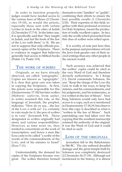In order to function properly, judges would have needed access to the various laws of Moses (2 Chronicles 19:10), as would the priests, especially those sent with certain Levites to teach in the cities of Judah (2 Chronicles 17:7-9). In the latter case, it is specifically said that "they taught in Judah, and *had* the book of the law of the LORD with them" (v 9). We are not to suppose that only officials possessed copies of the Scriptures. There is evidence to suggest that believers generally had access to biblical books (Psalm 1:4, Psalm 119).

#### THE WORK OF SCRIBES

Originals, as we have already observed, are called "autographs". Copies are known as "apographs". It is clear that great care was taken in copying the Scriptures. At first, the priests were responsible for this (Deuteronomy 17:18) but later scribes (Hebrew: *sopherim*, from *saphar*, to write) assumed this role, as the language of Jeremiah, the prophet, indicates: "How do ye say,…the law of the LORD *is* with us? Lo, certainly in vain made he *it*; the pen of scribes is in vain" (Jeremiah 8:8). Those designated as scribes originally had many and various responsibilities. However, as time went on, they tended to concentrate on the work of transcription: and hence a man like Ezra came to be called "a scribe of the words of the commandments of the LORD, and of his statutes to Israel" (Ezra 7:11).

Understandably, the demand for copies of the Scriptures became very great. The scribes therefore formed mentioned in the history, it is almost

themselves into "families" or "guilds", combining their efforts to ensure the best possible results (1 Chronicles 2:55). Their expertise in this field, together with their profound reverence for Holy Scripture, meant the production of really excellent copies. In fact, only the scrolls which proceeded from this class of scribes were relied upon.

It is worthy of note just here that, in the purpose and providence of God, the Jews took greater care of their sacred writings than any other people in the ancient world.

Such accuracy was achieved that the scribes' copies could be cited as the very Word of God and therefore divinely authoritative. In 1 Kings 2:3, David commands Solomon, his son: "Keep the charge of the LORD thy God, to walk in his ways, to keep his statutes, and his commandments, and his judgments, and his testimonies, as it is written in the law of Moses". Now King Solomon would only have had access to a copy, such as is mentioned in Deuteronomy 17:18,19; but observe how this copy is described as what is "written in the law of Moses". Such painstaking care had taken over the copying that the resultant manuscript retained the authority of the original. It was the Word of God and it could be cited as such.

#### LOSS OF THE ORIGINALS

Jerusalem fell to the Babylonians in 586 BC. The city suffered dreadful damage and the great temple built by Solomon was completely destroyed (2 Chronicles 36:17-19). Although not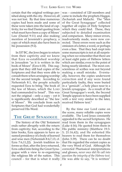certain that the original writings perished along with the city. However, all was not lost. By that time numerous copies had been made and some of these were taken into the land of captivity; for we find Daniel quoting from what must have been a copy of Moses' Law (Daniel 9:11) and also making mention of Jeremiah's prophecy, a copy of which must also have been in his possession (9:2).

In 537 BC, the Jews began to return from their captivity and we know that Ezra re-established worship in Jerusalem "as it is written in the book of Moses" (Ezra 6:18). This suggests that they still had copies of the Scriptures and that they were able to consult them when arranging worship for the second temple. According to Nehemiah 8:1, the people actually requested Ezra to bring "the book of the law of Moses, which the LORD had commanded to Israel". This was not the original – only a copy – yet it is significantly described as "the law of Moses". We conclude from such Scriptures that God had wonderfully preserved His Word.

### THE GREAT SYNAGOGUE

The history of the Old Testament ends rather abruptly with the return from captivity; but, according to the later books, Ezra appears to have assumed presidency of a body of learned and wise men (Nehemiah 8:4,7,13; cf. Ezra 7:6,11,22). Jewish tradition informs us that, after the Jews returned, Ezra called into being the Great Synagogue with a view to re-organizing the religious life of the nation. This council – for that is what it really He was able to say, "It is written"

was – consisted of 120 members and came to include the prophets Haggai, Zechariah and Malachi. The "Men of the Great Synagogue" collected together all copies of Holy Scripture which they could find. These, they subjected to detailed examination and comparison. Many minor errors, inadvertently made, were now corrected. These errors were such as the omission of a letter, a word, or perhaps even a line. That they had crept into some manuscripts is not at all surprising when we remember that there are at least eight pairs of Hebrew letters which are similar, even to the point of being nearly identical. The most conscientious of scribes was not beyond making a small mistake. Eventually, however, the copies underwent correction and if any were found particularly faulty, they were buried in a "genizah", a holy place near to a Jewish synagogue. As a result of the Great Synagogue's work, the Second Temple appears to have been supplied with a text very similar to the later, received Hebrew text.5

By the time our Lord came on the scene, many reliable copies were available. The Lord Jesus constantly appealed to the sacred Scriptures. He read from them in the synagogues (Luke 4:16); He quoted from them in His public ministry (Matthew 19:3- 5; 21:16,42); and He exhorted His hearers to read them for themselves (John 5:39). There can be no doubt that He regarded the extant copies as the very Word of God. Although He corrected Pharisaical interpretations and glosses, *never once did He call into question the integrity of the Hebrew text*.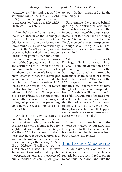(Matthew 4:4,7,10) and, again, "the scripture cannot be broken" (John 10:35). The same applies, of course, to the Apostles (Acts 1:16, 4:25, 28:25; Hebrews 1:1,6,7; etc.).

It might be argued that this proves too much, insofar as the Septuagint (LXX: the Greek translation of the Old Testament made by Alexandrian Jews around 250 BC) is also constantly quoted in the New Testament, without ever once being called into question. On the same premise, therefore, could this not be said to indicate endorsement of the Septuagint as an inspired and accurate text? No, there is a serious flaw in such reasoning. The fact is that there are a number of places in the New Testament where the Septuagint version appears to have been deliberately rejected (e.g., Matthew 2:15, where the LXX reads: "Out of Egypt I called his children"; Romans 10:15, where the LXX reads, "I am present as a season of beauty upon the mountains, as the feet of one preaching glad tidings of peace, as one preaching good news". See also: Romans 11:4; 1 Peter 4:8).

While some New Testament quotations show preference for the Septuagint rendering, the variation in these cases will be found to be very slight, and not at all in sense (e.g., Matthew 15:8,9 - Hebrew: "...their heart they have removed far from me, and their fearing of me has become a precept of men, a thing taught"; Acts 13:34 - Hebrew: "I will give you the sure mercies of David", but the New Testament Greek text actually quotes the Septuagint here, as in the *margin* of our Authorised Version: "[I will give]

to you…the holy things of David, the sure things").

Furthermore, the purpose behind quoting the Septuagint Version is often to bring out more clearly the intended meaning of the original (See: Romans 10:18, where the rendering "sound" is preferred to the Hebrew "line", a somewhat obscure expression, although as a "string" of a musical instrument, it clearly means much the same thing).

"We do not find", comments Dr. Roger Nicole, "any example of a New Testament deduction or application logically inferred from the Septuagint and which cannot be maintained on the basis of the Hebrew text". He concludes: "The use of the LXX in quoting does not indicate that the New Testament writers have thought of this version as inspired in itself… Yet their willingness to make use of the LXX, in spite of its occasional defects, teaches the important lesson that the basic message God purposed to deliver can be conveyed even through a translation, and that appeal can be made to a version insofar as it agrees with the original".<sup>6</sup>

To return to our earlier point: the endorsement given by our Lord and His apostles to the first-century Hebrew text shows that text to have been both accurate and reliable.

### THE FAMOUS MASSORETES

As we have seen, God raised up scribes, or sopherim, to produce a remarkably pure text. It fell to others to continue their work and take the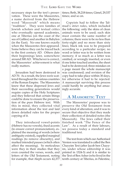necessary steps for the text's preservation. These were the Massoretes, a name derived from the Hebrew word "Massorah" which means "tradition". They were families of Jewish scholars and textual critics who eventually opened academies, one at Tiberius (on the coast of the sea of Galilee) and another in Babylon (in the East). No-one knows exactly when the Massoretes first appeared. Some believe they can be traced back to the first century AD. Others date their beginnings later, somewhere around 500 AD. Whichever is correct, the Massoretes' achievement is what really matters.

Jerusalem had been destroyed in AD 70. As a result, the Jews were scattered throughout the various countries of the Roman Empire. The Massoretes knew that these dispersed Jews and their succeeding generations would require copies of the Holy Scriptures and they believed that certain things could be done to ensure the preservation of the pure Hebrew text. With this in mind, they collected vital information about the text and laid down detailed rules for the proper copying of it.

They introduced vowel-points (Hebrew has no vowels), fixed accents (to ensure correct pronunciation), explained the meaning of words (where ambiguity existed), supplied marginal readings (to remove obscurity), and marked intended pauses (which often affect the meaning). So meticulous were they in their studies that they even counted the verses, words, and letters of the Old Testament, noting times; Beth, 38,218 times; Gimel, 29,537 times; and so on.

Copyists had to follow the Talmud's strict rules, which included the following: only the skins of clean animals were to be used; each skin must contain the same number of columns; there were to be no less than forty-eight and no more than sixty lines; black ink was to be prepared according to a particular recipe; no word or letter was to be written from memory; if so much as a letter was omitted, or wrongly inserted, or even if one letter touched another, the sheet had to be destroyed; three mistakes on a page meant the whole manuscript was condemned; and revision of the copy had to take place within 30 days, for otherwise it had to be rejected. A manuscript surviving this process could hardly be anything but amazingly accurate.

# A MASSORETIC TEXT

The Massoretes' purpose was to preserve the Old Testament from every kind of alteration; and it was to secure that objective that they made their collection of detailed notes (the Massorah). The Jews called their finished work "The Fence of the Law". As a result of their labours, we possess today a standard and traditional text.

for example, that Aleph occurs 42,377 tenth century at Tiberius, in Palestine, The text from which our Authorised Version was translated is called the Ben Chayyim Text (after Jacob ben Chayyim, under whose editorship it was printed in 1524-5) and it is similar to the Text of Ben Asher (who lived in the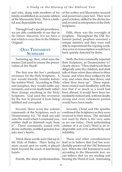and who, along with members of his family, established an accurate edition of the Masssoretic Text). This is a faithful and dependable text.

Through God's special providence, we are able confidently to say that in *the Hebrew Massoretic text* we have a text which is very close to the Hebrew Original.

### OLD TESTAMENT **SUMMARY**

Summing up, then, what were the means God used to ensure the preservation of His Word?

The first was the Jew's profound reverence for the Holy Scriptures. A Jew would literally tremble before the written Word. According to Philo and Josephus, they would suffer any torments, and even death itself, rather than change anything in the Holy Scriptures. God used this reverence for the text to prevent it from being falsified and corrupted.

Second, there were the solemn commands of the Scriptures, such as Deuteronomy 4:2: "Ye shall not add unto the word which I command you, neither shall ye diminish *ought* from it". These commands, issued with divine authority, instilled genuine fear into men's hearts.

Third, these scrolls were laid up in the Holy of Holies. There being no more sacred spot on earth, it placed them beyond the reach of interfering hands.

of the scribes and Massoretes secured and preserved a pure text. They were great scholars, skilled in the divine law and revered as interpreters of the Holy Scriptures.

Fifth, there was the oversight of prophets. Throughout the Old Testament period, prophets exercised a unique ministry and they were well able to superintend the copying work. Any error in transcription would have been quickly detected by them.

Sixth, the Jews constantly repeated their Scriptures, as Deuteronomy 6:7 clearly shows: "Thou shalt teach them diligently unto thy children, and shalt talk of them when thou sittest in thine house, and when thou walkest by the way, and when thou liest down, and when thou risest up". These repetitions created such familiarity with the text that if so much as a word had been altered, it would have been immediately noticed and, without doubt, strong and even vehement protest would have been made.

Seventh, Christ and His apostles confirmed the Scriptures as they were received in their times. The standard text used by them is the very same as we use today. Their unhesitating citation of it as God's Word is an indisputable seal of its authenticity and reliability.

Fourth, the sheer professionalism | hearing the Word of God. Interesting These and other considerations lead us to believe that God has wonderfully preserved the Old Testament text. When the Old Testament is read, according to the Massoretic text, we can believe that we are reading and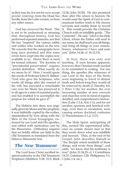as they may be, it is not for us to accept *peculiar renderings* from the Dead Sea Scrolls, from the Latin version, or from any other source.

God has *preserved* His Word. This is not to be understood as meaning that, throughout history, God has performed repeated miracles, nor that He has "inspired" the various rabbis and scribes who worked on the text. We concede that the autographs have long since perished and that some errors have crept into the copies now available to us. Hence there is need for textual criticism. The doctrine of "providential preservation" requires careful definition. What exactly do we mean by it? Here, I would quote the words of Professor John H. Skilton: "God who gave the Scriptures, who works all things after the counsel of his will, has exercised a remarkable care over his Word, has preserved it in all ages in a state of essential purity, and has enabled it to accomplish the purpose for which he gave it".7

The Hebrew text, then, was originally given by Moses and the prophets; it was faithfully copied by the scribes, standardized by Ezra along with the Men of the Great Synagogue, endorsed by our Lord and His apostles, and edited with meticulous care by the Massoretes. Orthodoxy requires that we boldly affirm our faith in the Old Testament as translated from the Hebrew Massoretic text.

# *The New Testament*

The Lord Jesus Christ ascribed inspired authority to the Old Testament Scriptures (Matthew 5:18; 15:3; Mark 1 John 1:4; etc.).

12:36; John 10:35). He also promised that, after His return to heaven, He would send the Spirit of God to communicate further truth to His chosen servants and enable them to record it. This would provide the Christian Church with an infallible guide. "The Comforter", He said, "*which is* the Holy Ghost, whom the Father will send in my name, he shall teach you all things, and bring all things to your remembrance, whatsoever I have said unto you" (John 14:26; cf. 16:12,13).

At first, there was only oral teaching. It soon became apparent, however, that Christian truth needed to be committed to writing. For one thing, the apostles (the witnesses of our Lord in the days of His flesh) were beginning to travel to distant lands and before long they would all be removed by death (2 Timothy 4:6; 2 Peter 1:14); for another, the ever increasing number of new converts and churches were in need of regular, detailed, and comprehensive instruction (Luke 1:3,4; Acts 1:1); and for yet another, spurious and heretical writings, even then in circulation, were causing serious doctrinal confusion (2 Thessalonians 2:1,2; 3:17).

The Holy Spirit, anticipating all this, exerted His supernatural influence on certain chosen men so that they wrote down what was infallible and inerrant. Thus, at the end of his Gospel, John describes himself as "the disciple which testifieth of these things, and wrote these things", and adds, "we know that his testimony is true" (John 21:24,25; cf. 1 Corinthians 14:37; Galatians 1:20; Philippians 3:1;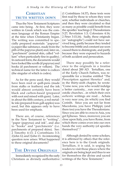### **CHRISTIAN** TRUTH WRITTEN DOWN

Thus the New Testament Scriptures came into being. At first, they were written in Greek which was the common language of the Roman Empire at the time when Christianity began. The writing was committed to specially prepared materials: "papyrus" (a paper-like substance, made from the pith of the papyrus plant) and, later on, "parchment" (animal skin, called "vellum" when particularly fine in quality). In outward form, the documents would have looked like scrolls (if papyrus) and books (if parchment or vellum). The technical name for the latter is codices (the singular of which is codex).

As for the pens used, they would have been reed or quill-pens (made from stalks or feathers) and the ink would almost certainly have been black and carbon-based (prepared with soot and mixed with gum). Later, in about the fifth century, a red metallic ink (prepared from gall-apples) was used, but this appears only to have been used for emphasis.

There are, of course, references in the New Testament to "writing", "paper (papyrus) and ink", and also to "books" and "parchments" (i.e. parchments of prepared skins). See: 2 Timothy 4:13; 2 Corinthians 3:3; 2 John 12; and 3 John 13. An interesting question now arises: What happened to these original documents?

# THE DIVINE ORIGINALS

Immediately recognized by the early Christians as divinely authoritative  $|$  writings of the New Testament.<sup>9</sup>

(1 Corinthians 14:37), these texts were first read by those to whom they were sent, whether individuals or churches, and then they were circulated so that as many as possible could benefit from the apostles' teachings (1 Thessalonians 5:27; Revelation 1:3; Colossians 4:16; 2 Peter 3:15,16). Sadly, these originals (or "autographs") could not have survived long, partly because they tended to become brittle and constant use soon caused them to disintegrate, and partly because they were exposed to hazards of both accident and persecution.

There may possibly be a reference to the originals in a treatise dated about 200 AD. Tertullian, one of the Early Church Fathers, was responsible for a treatise entitled "The Prescription against Heretics" and, in the thirty-sixth chapter, he wrote: "Come now, you who would indulge a better curiosity,…run over the apostolic churches…in which their own *authentic* writings are read… Achaia is very near you, (in which) you find Corinth. Since you are not far from Macedonia, you have Philippi; (and there too) you have the Thessalonians. Since you are able to cross to Asia, you get Ephesus. Since, moreover, you are close upon Italy, you have Rome, from which there comes even into our own hands the very authority (of apostles themselves)".8

Although denied by some scholars, it is affirmed by others that the reference here is to the Greek originals. Tertullian, it is said, is urging his readers to visit those places where the originals are being kept and thus to see for themselves the divine and sacred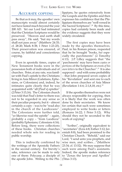#### ACCURATE COPYING

Be that as it may, the apostles' own manuscripts would almost certainly not have lasted much beyond the year 200 AD. Yet our Lord had intimated that the Christian Scriptures would be preserved. "Heaven and earth shall pass away", He said, "but my words shall not pass away" (Matthew 24:35; cf. 28:20; Mark 8:38; 1 Peter 1:23-25). Their preservation was ensured, of course, by faithful and conscientious copying.

Even in apostolic times, copies of New Testament books were in the possession both of individuals and of churches. Peter, at any rate, was familiar with Paul's epistle to the Christians living in Asia Minor ( Galatians, Ephesians, or Colossians) and, indeed, he intimates quite clearly that he was acquainted with "all [Paul's] epistles" (2 Peter 3:15,16). The Colossian church was told that Paul's letter to them was not to be regarded in any sense as their peculiar property, but it – almost certainly a copy – was to be "read also in the church of the Laodiceans". The Colossians were further told, "ye likewise read the epistle" – again, probably a copy – "from Laodicea" (probably Ephesians; Colossians 4:16). Before long, there were collections of these books. Christian churches needed whole sets for reading in public worship.

This is indirectly confirmed by the writings of the Apostolic Fathers in the second century. For brevity's sake, reference can be made to only one of them: Polycarp, a disciple of the apostle John. Writing to the Phi-(Titus 3:13).

lippians, he quotes extensively from the Gospels and the Epistles and then expresses his confidence that the Philippians themselves are "well versed in the Sacred Scriptures".10 By this time, copies had certainly been made and the evidence suggests that they were widely circulated.

The first copies may have been made by the apostles themselves. Paul, in his Roman prison, requested that he be brought "books, *but* especially the parchments" (2 Timothy 4:13). J.P. Lilley suggests that "the 'parchments' may have been *copies or portions* of the Scriptures or even *of his own letters* to the Churches".11 It is also supposed – and with some probability – that John prepared seven copies of his "Revelation" and sent one to each of the seven churches of Asia Minor (Revelation 1:4-6; 2:1,8,18, etc).<sup>12</sup>

If the apostles themselves were not always responsible for copying, then it is likely that the work was often done by their secretaries. We know for certain that such were sometimes employed to write books or letters (Romans 16:22; 1 Peter 5:12). Why should they not be seconded to the work of copying?

"Scribes", originally equivalent to "secretaries" (Ezra 4:8; Esther 3:12; Jeremiah 8:8), had been promised to the Christian Church. "Behold," said our Lord, "I send unto you prophets, and wise men, and scribes…"(Matthew 23:34; cf. 13:52). We may suppose that such were among Paul's assistants. Indeed, the apostle makes reference to "Zenas the lawyer and Apollos"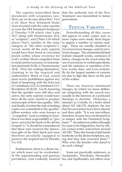The copyists transcribed these documents with scrupulous care. How can we be sure about this? *First of all*, these New Testament books were invested with the same sanctity as were the Old Testament Scriptures (I Timothy 5:18 which cites Luke 10:7, along with Deuteronomy 25:4, as "scripture"; and 2 Peter 3:16 which places Paul's epistles in the same category as "the other scriptures"). *Second*, nearly all the early copyists would have been hired or converted Jewish scribes whose reverence for God's written Word compelled them to study perfect accuracy in transcription (Jeremiah 36:28; cf. Deuteronomy 10:4). *Third*, the writings themselves, claiming to be the inspired and authoritative Word of God, issued most severe prohibitions against any kind of tampering with the holy text (1 Corinthians 2:13; 2 Corinthians 2:17; Revelation 22:18,19). *Fourth*, knowing that the apostles were still alive and active, the early copyists would have been all the more careful to produce manuscripts of first-class quality. *Fifth*, and finally, if at first the task of making copies was committed to the apostles' fellow-workers who were known as "evangelists" (and according to Eusebius it was their responsibility to "give [new converts] the book of the divine Gospels"),<sup>13</sup> it should be remembered that these men received the miraculous gifts of the Holy Spirit and were therefore peculiarly equipped to preserve the inspired text (2 Timothy 1:6, 4:5).

Furthermore, there is a divine factor which must not be overlooked. In His superintending and gracious that the authentic text of the New Testament was transmitted to future generations.

# TEXTUAL VARIANTS

Notwithstanding all this, errors did appear in some copies and, as more copies were made, there began to appear a number of variant readings. These are usually classified as (1) *unintentional* changes, and (2) *intentional* changes. The unintentional kind include misspelt words, confusion of letters, changes in the word-order, the use of synonyms or verbal equivalents, and the omission or repetition of letters, words, lines, and even sections. By far the largest number of variants are due to slips like these on the part of the scribes.

There are, however, intentional changes, by which we mean deliberate tampering with the sacred text, usually in the interests of a particular theology or doctrine. Dionysius, a minister at Corinth, in a letter dated about AD 168-170, deplores the fact that his own letters have been altered, and then adds: "It is not marvellous, therefore, if some have set themselves to tamper with the Dominical Scriptures".<sup>14</sup> An unknown author (thought by some to be Hippolytus, but by others, Gaius) writes somewhere around AD 230: "They (the heretics) laid hands fearlessly on the divine Scriptures, saying that they had corrected them".15 Who were the heretics who dared to do such a thing?

providence, God evidently ensured | lus, and Apollonides, but others were Some are practically unknown, as Asclepiades, Theodotus, Hermophi-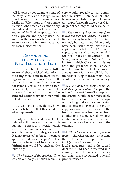#### THE LORD GAVE THE WORD

well-known as, for example, some of the early Gnostics (who taught salvation through a secret knowledge): Basilides, Valentinus, and of course Marcion, who accepted as canon only his mutilated editions of Luke's Gospel and ten of the Pauline epistles. "Marcion expressly and openly used the knife, not the pen, since he made such an excision of the Scriptures as suited his own subject-matter".<sup>16</sup>

### **REPRODUCING** THE AUTHENTIC NEW TESTAMENT TEXT

Orthodox teachers were fully aware of these wicked alterations, exposing them both in their teachings and in their writings. As a result, manuscripts considered faulty were not generally used for copying purposes. Only those which faithfully preserved the original became the standard documents from which multiplied copies were made.

Do we have any evidence, however, for believing that this is indeed what happened?

Early Christian leaders certainly claimed ability to evaluate the various manuscripts and decide which were the best and most accurate. For example, Irenaeus in his great work "Against Heresies" refers to "the most approved and ancient copies".17 The kind of criteria used to ascertain a faithful text would be such as the following:

**1.** *The identity of the copyist***.** If he was an ordinary Christian man, his proper transcript.

copy would probably contain a number of mistakes. If, on the other hand, he was known to be an apostolic assistant or professional scribe, a very high degree of accuracy could be expected.

**2.** *The nature of the manuscript from which the copy was made***.** In earliest times this may have been the inspired original, but later it would certainly have been itself a copy. Now many copies were what we call "private" copies: that is, such as were intended for personal and devotional use. Some, however, were "official" copies from which Christian ministers read and preached in the services of public worship. The latter would always prove far more reliable than the former. Copies made from these would share much of their reliability.

 **3.** *The number of copyings which had already taken place***.** A copy of the original or one of the earliest copies of the original would be far more likely to provide a sound text than a copy with a long and rather complicated line of descent. Hence, the oldest copy was not always reckoned the best, for it may have been copied from another of the same period, whereas a later copy may have been copied from a much earlier one, close to the original.

 **4.** *The place where the copy was found***.** Churches themselves became the custodians of the pure Word of God (as was the case formerly with local synagogues); and if the copied document had been preserved in a church, one could be reasonably certain that it was a recognized, true and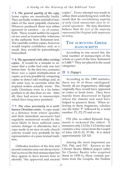**5.** *The general quality of the copy***.** Some copies are manifestly faulty. They are badly written and full of mistakes of the most palpable character. Whoever produced them was either ignorant or careless – or, of course, both. These would neither be regarded nor used as trustworthy witnesses to the authentic New Testament text. The carefully written copies, however, would inspire confidence and, as a result, they would be painstakingly transcribed.

 **6.** *The agreement with other existing copies***.** It would be a mistake to assume that a scribe had only one text before him. In the first two centuries there was a rapid multiplication of copies, so it was possible by comparing copies to detect odd readings and, in the same way, to ascertain what the inspired writers actually wrote. The early Christians were in a far better position to do this than we are. After all, they had access to manuscripts which have long since perished.

 **7.** *The close proximity to a wellknown Christian centre***.** A copy made at a distance from where apostles and their immediate successors had regularly ministered would be the most likely to have suffered some serious changes or alterations; but a copy made in an area of early church activity would very probably be the representative of a pure textual tradition.

 Orthodox teachers of the first and second centuries may not always have had access to the best manuscripts but they appear to have known how to identify "the approved and ancient tions from the Gospels, the Pauline

copies". Every attempt was made to utilize their underlying text, with the result that *the overwhelming majority of early Greek manuscripts were in essential agreement*. We may therefore believe that *the text of the majority represented the Original with impressive accuracy*.

### THE SURVIVING GREEK **MANUSCRIPTS**

 According to one recent list, the total number of manuscripts of the whole or a part of the New Testament is 5,488.18 They are placed in the usual categories:

### ■ 1. *Papyri.*

 According to the 1989 statistics, there are *96* of these catalogued. Nearly all are fragmentary, although originally they would have appeared in codex or book form. They have mainly been discovered in Egypt where the climate and sand have helped to preserve them. When referring to these fragments, scholars use the letter 'P' followed by a serial number: P1, P2, P3 and so on.

 P52 (the so-called Rylands fragment) is reckoned the oldest. It measures only 2 1/2 by 3 1/2 inches and contains a few verses from the Gospel of John (18:31-33, 37-38). It is dated approximately 125 AD.

 Among the most important are P45, P46, and P47. Known as the Chester Beatty Biblical papyri (after Sir Chester Beatty who acquired them in 1930-1), these contain por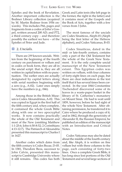Epistles and the book of Revelation. Another important collection is the Bodmer Library collection (acquired by M. Martin Bodmer from 1956 onwards). This includes P66, pages and fragments from a codex of John's Gospel, written around 200 AD; and P72, a third century copy – and therefore possibly the earliest we have – of the Epistles of Peter and Jude.

#### 2. *Uncials.*

 There are *299* known uncials. Written from the beginning of the fourth century on parchment or vellum and in codex or book form, they are all in the uncial script: that is, they are all written in capital letters with no punctuation. The earlier ones are actually designated by capital letters along with serial numbers beginning with a zero (e.g., A-02). Later ones simply have the numbers (e.g., 046).

 Among those in the British Museum is Codex Alexandrinus, A-02. This was copied in Egypt in the first half of the fifth century and, when complete, it contained the whole Greek Bible along with one or two apocryphal works. It now contains practically the whole of the Old Testament and most of the New (omitting Matthew 1:1-25:6; John 6:50-8:52; 2 Corinthians 4:13-12:7). The Patriarch of Alexandria presented this manuscript to Charles I in 1627.

 Another codex which dates from the fifth century is Codex Bezae, D-05. In 1581, Theodore Beza, successor to John Calvin, presented this manuscript to Cambridge University where it still remains. This codex has both Testament and several large sections of

Greek and Latin texts (the left page in the former, the right in the latter) and it contains most of the Gospels and the Book of Acts, together with a few verses from 3 John.

 The most famous of the uncials are Codex Sinaiticus, Aleph-01 (Aleph being the first letter of the Hebrew alphabet), and Codex Vaticanus, B-03.

 Codex Sinaiticus, dated in the mid- or late-fourth century, contains only a part of the Old Testament but the whole of the Greek New Testament. It is the only complete uncial manuscript of the New Testament extant. This Egyptian codex was written on vellum, with four columns of forty-eight lines on each page, but there are clear indications in the text itself that it has several times been corrected. In the year 1844 Constantine Tischendorf discovered some of its leaves in a waste-paper basket in the library of St. Catherine's monastery on Mount Sinai. He had to wait until 1859, however, before he had sight of the whole New Testament. After obtaining permission, he transferred it to Cairo where he produced a copy of it; and in 1862, through the generosity of Alexander II, the Russian Emperor, he published an edition of the manuscript with an Introduction and Critical Notes.

 Codex Vaticanus may also be dated about the middle of the fourth century and, like Aleph, it is written on fine vellum but with three columns to the page, each consisting of forty-two lines. Once a complete Greek Bible, it has long since lost portions of the Old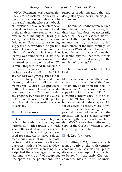the New Testament. Missing from this uncial are the Pastoral Epistles, Philemon, the conclusion of Hebrews (9:14 to the end), and the whole of the book of Revelation. Various correctors have been at work on the manuscript and, in the tenth century, someone traced over much of the original, fearing, it seems, that its letters might otherwise fade away. Peculiarities in spelling suggest an Alexandrian origin but no-one knows how it came into the Library of the Vatican in Rome. The Library was founded in 1448 by Pope Nicolas V and this manuscript is listed in the earliest catalogue, issued in 1475. Samuel Tregelles tried to consult it in 1845 but he was greatly hindered by its clerical custodians. In 1866, Tischendorf was given permission to study it for forty-two hours and, from his study and notes, an edition of this manuscript – Codex B – was produced in 1867. This was followed by an edition issued by the Papal authorities and prepared by Vercellone and Cozza in 1868; and, then, in 1889-90, a photographic facsimile was made available to scholars.

### 3. *Minuscules.*

 There are *2,812* of these. They are called minuscules because they are written not with capitals but with small letters (called minuscules or cursives). This style of writing had been used for centuries in private documents but it was not until the ninth century that it was used for literary purposes. With the demand for New Testament books ever increasing, this script had the advantages of taking less time to write and of occupying

purposes of identification, they are designated by ordinary numbers (1,2,3 and so on).

 The minuscules, then, were written from the ninth century onwards; but their later date does not necessarily mean that they are less credible witnesses to the originals. Ninth century manuscripts may have been copied from others of the third century. As Professor Warfield once observed, "It is not the mere number of years that is behind any ms. that measures its distance from the autograph, but the number of copyings".19

 These minuscules include the following:

MS 1: a codex of the twelfth century, containing the whole of the New Testament, apart from the book of Revelation. MS 4: a twelfth century copy of the four Gospels. MS 12: an eleventh century copy of the Gospels. MS 21: from the tenth century but also containing the Gospels. MS 43: an eleventh century work in two volumes, the first containing the Gospels and the second, the Acts and the Epistles. MS 330: eleventh century, containing the Gospels, Acts, and Epistles. MS 565: a very fine ninth century copy of the Gospels, written in gold letters on purple vellum.

#### 4. *Lectionaries.*

less space on the parchment. For  $\vert$  churches. Most of them use uncial Totalling *2,281*, these are texts from as early as the sixth century, containing the Gospels and Epistles (Evangeliaria and Apostoli) appointed to be read in the early Christian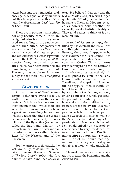letters but some are minuscules; and, once again, designation is by numbers but this time prefixed with an '*l*' or with the abbreviation 'Lect' (e.g., *l*59 or Lect. 1280).

 These are important manuscripts, not only because some of them are early, but also because they were used for reading in the public services of the Church. *The greatest care would have been taken over these church copies to preserve their original purity*; and *the testimony of a lectionary* would be, in effect, *the testimony of all the churches*. Now, the surviving lectionaries which have been examined are found to agree to an amazing extent. The only reasonable explanation, surely, is that there was *a recognized lectionary text*.

### **CLASSIFICATION**

 A great number of Greek manuscripts is therefore available to us, written from as early as the second century. Scholars who have studied them maintain that, while there are variants, certain manuscripts have a great many readings in common which suggests that there are groups or families. The major text-types are as follows: (i) the Byzantine (sometimes called the Traditional, Majority, or Antiochian text); (ii) the Alexandrian (or what some have called Neutral Text); (iii) the Western; and (iv) the Caesarean.

 For the purposes of this article, the last two text-types do not require detailed comment. It was B.H. Streeter, in *The Four Gospels* (1924), who first claimed to have found the Caesarean

text. He believed that this was the text of Mark's Gospel which Origen quoted after 231 AD, the year in which he came to Caesarea. Modern textual critics, however, doubt whether this can really be called a distinct text-type. They tend rather to think of it as a mere mixture.

 As for the Western text-type, identified by B.F. Westcott and F.J.A. Hort, and thought to originate in Western Europe, there would appear to be *some* evidence for its existence. It is represented by Codex Bezae (fifth century), Codex Claromontanus (sixth century), and the Old Latin and Curetonian Syriac translations (third and fifth centuries respectively). It is also quoted by some of the early Church Fathers, such as Irenaeus, Tertullian, and Cyprian. However, this text-type is often radically different from all others. It is marred by a number of omissions, not only of verses but also of whole passages. Its prevailing tendency, however, is to make additions, either by way of paraphrase or by the insertion of additional details. In the Gospels (especially in the latter part of Luke's Gospel) it is shorter, while in the Acts it is a great deal longer (approximately 10% longer). Sir Frederic Kenyon described it as "a type of text characterised by very free departures from the true tradition". Paucity of manuscript support, along with a multitude of distinctive readings, renders this text-type at best questionable, at worst wholly unreliable.

 This really leaves us with two major groups of texts: the Byzantine and the Alexandrian.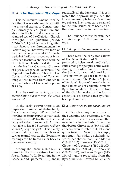#### **A.** *The Byzantine Text-type*

 This text receives its name from the fact that it was early associated with the imperial capital of Constantinople, formerly called Byzantium, and also from the fact that it became the standard text of the Christian Church throughout the Byzantine period, 312-1453 AD (and actually long after that). Prior to its enthronement in the Eastern capital, however, this form of text had been preserved in Antioch, capital of the Roman province of Syria. Christian teachers connected with the church there clearly used it. These include Basil of Caesarea, Gregory of Nyssa, Gregory of Nazianzus (the Cappadocian Fathers), Theodoret of Cyrus, and Chrysostom of Constantinople (who moved from Antioch to become bishop of Constantinople in 398 AD).

 The Byzantine text-type has *overwhelming support from the Greek manuscripts*.

 In the early papyri there is an impressive number of distinctively Byzantine readings. P45 and P46 of the Chester Beatty Papyri contain such readings, as does P66 of the Bodmer Library collection. Professor H. A. Sturz was able to list *150 Byzantine readings with early papyri support.*20 This plainly shows that, contrary to the views of earlier textual critics, the Byzantine readings can be traced as far back as the second century.

 Among the Uncials, this text is found in the fifth century Codices Alexandrinus (A-02; Byzantine in the Gospels), and Ephraemi (C-01), and in Byzantine text. Edward Miller, after

practically all the later ones. It is estimated that approximately 95% of the Uncial manuscripts have a Byzantine type of text. Even more can be claimed for the Minuscules, since nearly all of these are Byzantine in their readings.

 The Lectionaries thus far examined also give support to the Byzantine texttype.

#### *1. Supported by the early Versions*

 These were the early translations of the New Testament Scriptures, prepared to help spread the Christian Faith among the peoples of the world. Among the earliest known to us are the Syriac (or Aramaic) and Latin Versions which go back to the midsecond century. The Peshitta, "Queen of Versions", is one of the early Syriac translations and it certainly contains Byzantine readings. This is also true of the Gothic version of the fourth century, said to be translated by Ufilas, bishop of Antioch.

#### *2. Confirmed by the early Fathers*

 Critics who deny the primacy of the Byzantine text, preferring to view it as a fourth century revision, often refer to the fact no Early Church Father before Chrysostom (347-407 AD) appears even to refer to it, let alone quote from it. Now this is simply not true. Painstaking scholarly research has shown that Justin Martyr (100-165 AD), Irenaeus (130-200 AD), Clement of Alexandria (150-215 AD), Tertullian (160-220 AD), Hippolytus (170-236 AD), and even Origen (185- 254 AD) quote repeatedly from the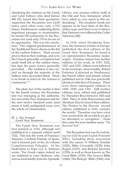classifying the citations in the Greek and Latin Fathers who died before 400 AD, found that their quotations supported the Byzantine text 2,630 times (and other texts only 1,753 times). Furthermore, subjecting thirty important passages to examination, he found 530 testimonies to the Byzantine text (and only 170 in favour of its opponents). This was his conclusion: "The original predominance of the Traditional Text is shewn in the list of the earliest Fathers. Their record proves that in their writings, and so in the Church generally, corruption had made itself felt in the earliest times, but that the pure waters generally prevailed… The tradition is also carried on through the majority of the Fathers who succeeded them. There is no break or interval: the witness is continuous".21

 The plain fact of the matter is that by the fourth century the Byzantine text was emerging as the authoritative text of the New Testament and for the next twelve hundred years (and more) it held undisputed sway over the whole of Christendom.

#### *3. The Printed Greek New Testament*

 The Greek New Testament was first printed in 1514, although not published in a separate edition until 1522. This was the work of Francisco Ximenes, Cardinal Primate of Spain, and it formed part of his six-volume Complutensian Polyglot. In his Dedication to Pope Leo X, Ximenes wrote: "For Greek copies indeed we are indebted to your Holiness, who sent us most kindly from the Apostolic (1560), The Bishops' Bible (1568), and,

Library very ancient codices, both of the Old and New Testament; which have aided us very much in this undertaking". The resultant Greek text appears to be have been of the Byzantine type (and there is no evidence that Ximenes ever followed the Codex Vaticanus [B]).

 In 1516, when Desiderius Erasmus, the foremost scholar in Europe, published the first edition of the Greek New Testament, he based it on representative Byzantine manuscripts. Erasmus issued four further editions of his work, in 1519, 1522, 1527, and 1535. Others soon followed in his footsteps: most notably, Robert Estienne (Latinized as Stephanus), the French editor and printer, whose published text in 1546 was practically identical with that of Erasmus. There were three subsequent editions in 1549, 1550, and 1551. Still further editions were edited and published by Theodore Beza between 1565 and 1604. Then, in 1624, Bonaventure and Abraham Elzevir issued their edition. The Preface to the Elzevirs' second edition, published in 1633, contains the words: "Therefore you have a text now received by all, in which we give no alteration or corruption". From this came the now familiar name "*The Received Text*".

 The Byzantine text was *the underlying text of all the great English Protestant Bibles*, including those associated with the names of William Tyndale (1525), Miles Coverdale (1535), John Rogers (1537), and Richard Taverner (1539), as well as those known as The Great Bible (1539), The Geneva Bible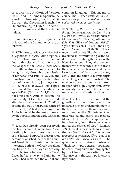of course, the Authorized Version (1611); and the Reina in Spanish, the Karoli in Hungarian, the Luther in German, the Olivetan in French, the Statenvertaling in Dutch, the Almeida in Portuguese and the Diodati in Italian.

 Summing up here, the arguments in favour of the Byzantine text are as follows:

 **1.** This text-type is *associated with the city of Antioch in Syria*. After Stephen's death, Christians from Jerusalem fled to this city and began to preach the Gospel to the Greeks there (Acts 11:19,20). A strong church came into being, largely through the ministries of Barnabas and Paul (11:22-26), and from this church the apostle started on each of his missionary journeys (Acts 13:1-3, 15:35,36, 18:22,23). Other apostles visited the place, including the apostle Peter (Galatians 2:11,12). It was not long before Antioch became the mother city of Gentile churches and, after the fall of Jerusalem in 70 AD, it became the true undisputed centre of Christianity. A text proceeding from Antioch would be the text approved by the apostles and the early Christian Church.

 **2.** As has already been observed, this text received its name from Constantinople (Byzantium), the capital of the Eastern Empire, because it soon became established there as the standard Greek text. Constantinople was the centre both of the Greek-speaking world and of the Greek-speaking Church, for whereas in the West, Greek had given way to Latin, in the East, it had remained the official and Byzantine.

common language. This meant, of course, that *Greek scholars in Constantinople were peculiarly fitted to recognize and reproduce the authentic text.*

 **3.** *During the fourth century when this text became supreme, the Church was blessed with exceptional scholars* such as Methodius (AD 260-312), Athanasius (296-373), Hilary of Poitiers (315-67), Cyril of Jerusalem (315-386), and Gregory of Nazianzen (330-394). These men – and others like them – were involved in formularizing orthodox doctrine and ratifying the canon of the New Testament. They also devoted themselves to the study of the text; and they had an advantage over later critics on account of their access to many early and invaluable manuscripts which long since have perished. The emergence of a predominant text from this period is highly significant. It was obviously considered the genuine, uncorrupted, and authorised text.

 **4.** The Jews were appointed the guardians of the divine revelations imparted to them and, in fulfilment of the trust reposed in them, they carefully preserved the Old Testament text uncorrupted and entire (the Hebrew Massoretic text). As the apostle Paul has observed, "unto them were committed the oracles of God" (Romans 3:2). Now it is reasonable to suppose that *the New Testament Scriptures were committed to professing Christians, or to the professing Christian Church*. The question which naturally arises is: Which text-type, generally speaking, has been recognized and propagated by the Church from earliest times? The answer is: the text-type known as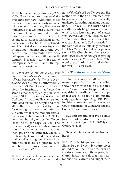#### THE LORD GAVE THE WORD

 **5.** The fact is that *approximately 90% of the Greek manuscripts represent the Byzantine text-type*. Although these manuscripts are not as early as some critics would have liked, they are so numerous that we must assume that there were literally hundreds of older parent-documents, many of which belonged to earliest Christian times. Somehow this fact has to be explained; and it is not at all satisfactory to persist in arguing – against mounting evidence – that the Byzantine text does not appear in history until the fourth century. This text is early. It became widespread because it faithfully represented the original.

 **6.** *Providential care has always been exercised towards God's Truth, because believers have needed that Truth in an accurate and correct form* (Matthew 24:35; 1 Peter 1:23,25). Hence, the Word given by inspiration has been the same as that subsequently published (Psalm 68:11). It is inconceivable that God would give a totally corrupt and mutilated text to His people and then allow that text to be used by them for over eighteen centuries. Yet that is exactly what some modern textual critics would have us believe! "Let it be remembered", writes Dr. Owen, "that the vulgar copy we use (The Received Text) was the public possession of many generations…; let that, then, pass for the standard, which is confessedly its right and due, and we shall, God assisting, quickly see how little reason there is to pretend such varieties of readings as we are now surprised withal".<sup>22</sup>

**7.** It is reasonable to suppose that *God acted similarly with respect to the* 

*texts of the Old and New Testaments.* His method with the Old Testament was to preserve the text, in a practically unaltered form, through many generations. The result – as Christ and His apostles clearly taught – was a Book in which every letter and part of a letter was sacred (Matthew 5:18; cf. John 10:35). When this ancient revelation was supplemented, God proceeded in the same way: He infallibly recorded His latest Word, placed it in the possession of His Church, and then *ensured that it was passed on through succeeding centuries, even to this present time*. "The word of the Lord…liveth and abideth for ever" (1 Peter 1:25).

#### **B.***The Alexandrian Text-type*

 This is a very small group of manuscripts. Peculiarities of spelling show that they are to be associated with Alexandria in Egypt; and, not surprisingly, readings from this type of text are to be found among the early Egyptian papyri (e.g., P46, P47). Its chief representatives, however, are Codex Sinaiticus (or Codex Aleph) and Codex Vaticanus (or Codex B).

 Support for this text-type comes from the Alexandrian Fathers, most notably from Origen (AD 185-254) and Cyril (376-444).

 Several things should be observed here:

 1. This text-type *originated from Alexandria, in Egypt*. Scripture gives no indication that there was ever an apostolic presence in those parts, but church history reveals that many notorious heretics lived and taught there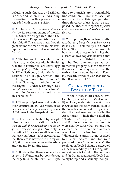including such Gnostics as Basilides, Isidore, and Valentinus. Anything proceeding from this place must be regarded with some suspicion.

 **2.** There is *clear evidence of revision* by its rearrangement of words. B.H. Streeter suggested that the editor was an Egyptian bishop called Hesychius.<sup>23</sup> This means that although great claims are made for it, this texttype cannot be regarded as singularly "pure".

**3.** The two great representatives of this text-type, Codices Aleph (Sinaiticus) and B (Vaticanus) are *exceedingly poor in quality*. When examined by Dr. F.H.A. Scrivener, Codex Aleph was declared to be "roughly written" and "full of gross transcriptural blunders" such as "leaving out whole lines of the original". Codex B, although "less faulty", was found to be "liable to err" committing "errors of the most palpable character"<sup>24</sup>

**4.** These principal manuscripts show their corruptions by *disagreeing with themselves in literally thousands of places* (3,000 times in the Gospels alone).

 **5.** The text attested by Aleph (Sinaiticus) and B (Vaticanus) is *at variance with the overwhelming majority of the Greek manuscripts*. Not only is it confined to a very small family of manuscripts, but it has been estimated that there are somewhere in the region of 6,000 differences between the Alexandrian and Byzantine texts.

 **6.** It is true that there is severe loss of text in B (Vaticanus), but considering their age (mid- or late-fourth century), safely be rejected absolutely, though it

these two uncials are in remarkably fine condition. Since most accurate manuscripts of this age perished through reason of use, it may be supposed that these were *rejected as flawed* and therefore were *not used by the early church*.

 **7.** Supporting this conclusion is the fact that *very few copies indeed were made from them*. As stated by Dr. Gordon Clark, "If a score or two manuscripts have a single ancestor, it implies that a score or two copyists believed that ancestor to be faithful to the autographs. But if a manuscript has not a numerous progeny, as is the case with B's ancestor, one may suspect that the early scribes doubted its value. Possibly the early orthodox Christians knew that B was corrupt."25

### CRITICS ATTACK THE BYZANTINE TEXT

 In the nineteeneth century, two Cambridge scholars, B.F. Westcott and F.J.A. Hort, elaborated *a radical new theory* about the early transmission of the New Testament text. They argued that the best text was actually the Alexandrian (which they called the "Neutral Text") represented by Aleph and B. Since those two manuscripts were slightly earlier than others, they claimed that their common ancestor was close to the inspired original. While absolute purity was not ascribed to this text, Westcott and Hort were prepared to say, "It is our belief (1) the readings of Aleph B should be accepted as the true readings until strong internal evidence is found to the contrary, and (2) that no readings of Aleph B can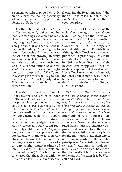is sometimes right to place them only on an alternative footing, especially where they receive no support from Versions or Fathers".26

 The Byzantine text (called the "Syrian Text") contained, as they thought, "conflate readings", i.e., combinations of earlier readings; and they believed they originated in a two-stage revision produced at or near Antioch in the fourth century. Admitting this to be only "supposition", they advanced the view that "the growing diversity and confusion of Greek texts led to an authoritative revision at Antioch" and later "to a second authoritative revision". The whole process, according to them, was completed by 350 AD; and they even put forward the suggestion that Lucian of Antioch (martyred in 312) may have been involved in the earlier revision.

 The theory is seriously flawed. Although critics and versions still refer to "the oldest and best manuscripts", the phrase is altogether misleading because, in this particular debate, the "oldest" are in fact the "worst". As for "conflate readings" in the Byzantine text, convincing evidence in support of them has never been produced (even after twenty-eight years of study Westcott and Hort could produce only eight examples). Anyway, long readings do not prove a later interference with the text. Professor Sturz has shown that some of these readings are supported by the earliest papyri (the longer readings of John 10:19 and 10:31, for example, are supported by P66).<sup>27</sup> This leads to the conclusion that the fault lies with the Alexandrian text. It stands accused of  $\mid$  cott and Hort.

shortening the Byzantine text. What then of the so-called "Lucianic Recension"? There is no evidence that it ever took place.

 Westcott and Hort set about the task of preparing a revised Greek text. It so happens that they were also members of the committee, appointed by the Convocation of Canterbury in 1880, to prepare a revised edition of the English Bible. Although their Greek text was not yet published, a proof copy was made available to the revisers; and when in 1881 the New Testament of the Revised Version appeared, it was immediately apparent that Westcott and Hort's Greek text had not only greatly influenced the committee but that it had also been generally followed in the Revised Version of the English New Testament.

*This Westcott/Hort Text was the forerunner of what is known today as the Nestle/Aland (United Bible Societies) Text, which has usurped the place of the Byzantine or Traditional Text and subsequently formed the basis for practically all modern versions.* The New International Version, for example, while claiming in its preface to follow an 'eclectic' Greek text (i.e., one compiled from a variety of manuscripts), proceeds at once to inform the reader that "where existing manuscripts differ, the translators made their choice of readings according to the accepted principles of New Testament textual criticism". Adoption of fundamentally flawed 'principles' has meant that the resultant text is very similar to the one produced in 1881 by West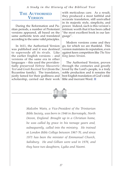*A Study in the History of the Biblical Text*

# THE AUTHORISED **VERSION**

 During the Reformation and Puritan periods, a number of Protestant versions appeared, all based on the same authentic texts and translated according to the same valid principles.

 In 1611, the Authorised Version was published and it was destined to supersede all its rivals. Like the earlier English versions – and versions of the same era in other languages – this used the providentially preserved *Hebrew Massoretic Text* and *Greek Received Text* (from the Byzantine family). The translators, justly famed for their godliness and scholarship, carried out their work lible and inerrant Word.

with meticulous care. As a result, they produced a most faithful and accurate translation, still unrivalled in its majestic style, simplicity, and power. Indeed, such is this version's intrinsic worth that it has been called "the most excellent book in our language".

 Modern versions come and they go, for which we are thankful. This version maintains its reputation, even against keen competitors like *The New King James Version*.

 The Authorised Version, proven through the centuries and greatly loved by the Lord's people, is a truly noble production and it remains the best English translation of God's infal-



*Malcolm Watts, a Vice-President of the Trinitarian Bible Society, was born in 1946 in Barnstaple, North Devon, England. Brought up in a Christian home, he was called by grace in his teenage years and, subsequently, called into the ministry. He trained at London Bible College between 1967-70, and since 1971 has been the minister of Emmanuel Church, Salisbury. He and Gillian were wed in 1976, and they have two daughters, Lydia and Naomi.*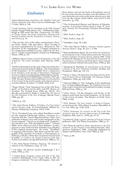#### THE LORD GAVE THE WORD

#### *Endnotes*

**<sup>1</sup>** James Bannerman, *Inspiration: the Infallible Truth and Divine Authority of the Holy Scriptures* (Edinburgh: T & T Clark, 1865), p. 158.

**2** Louis Gaussen, *Divine Inspiration of the Bible* (Grand Rapids: Kregel Publications, 1971. Published in Edin-<br>burgh in 1842 under the title, Theopneustia: The Bible, burgh in 1842 under the title, *Theopneustia: The Bible, its Divine Origin and Entire Inspiration, Deduced from Internal Evidence and the Testimonies of Nature, History, and Science*), p. 34.

**3** This was the view of the older commentators, Piscator, Poole, Clarke, Gill, and others. More recently, it has been maintained by Dr. Greg L. Bahnsen in "The Inerrancy of the Autographa", a chapter included in the symposium entitled *Inerrancy*, edited by Dr. Nor- man L. Geisler (Grand Rapids: Zondervan Publishing House, 1980), p. 167.

**4** William Henry Green, *General Introduction to the Old Testament: The Canon* (London: John Murray, 1899), p. 11.

**5** Further information on the state of the text at this period may be found in John H. Skilton, "The Transmission<br>of the Scriptures", in *The Infallible Word, a Symposium*<br>by the Members of the Faculty of Westminster Theological *Seminary,* third revised printing (Philadelphia: Presbyterian and Reformed Publishing Company, 1967) pp.<br>153ff. See also Thomas Hartwell Horne, *An Introduction*<br>153ff. See also Thomas Hartwell Horne, *An Introduction*<br>10

**6** Roger Nicole, "New Testament Use of the Old Testa-ment", in *Revelation and the Bible*, Carl F.H. Henry, ed. (London: The Tyndale Press, 1959), pp. 142-43. See also the comments by Walter C. Kaiser Jnr, *The Uses of the Old Testament in the New* (Chicago: Moody Press, 1985), pp. 4ff.

**7** Skilton, p. 143.

**8** The Ante-Nicene Fathers, *Tertullian, On Prescription against Heretics*, chap. 36 (Grand Rapids: William Ee- rdmans Publishing Company, 1979), 3:260.

**9** Dr A. Cleveland Coxe, who edited Tertullian's works for the original Edinburgh edition, concedes in a footnote that the "much disputed phrase ('their own authentic writings') may refer to the autographs or the Greek originals". However, he thinks that "probably" the reference is to "full unmutilated copies". Edward Miller (who edited several of Dean Burgon's works), appears to have believed that Tertullian was alluding to the original manuscripts. He wrote: "Tertullian, in arguing with heretics, bids them consult the autographs of the Apostles at Corinth, or Thessalonica, or Ephesus, or Rome, where they are preserved and read in public" *(A Guide to the Textual Criticism of the New Testament* [London: George Bell and Sons, 1886], p. 72).

**<sup>10</sup>** The Ante-Nicene Fathers, *Polycarp, The Epistle of Polycarp to the Philippians*, chap. 12, 1:35.

**<sup>11</sup>** J.P. Lilley, *The Pastoral Epistles* (Edinburgh: T & T Clark, 1901), p. 216.

<sup>12</sup> Caspar Rene Gregory*, Canon and Text of the New<br><i>Testament* (Edinburgh: T. & T. Clark, 1907), p. 309. Dr<br>Gregory comments: "No one will imagine…that only

those letters and not the book of Revelation were to be sent to the churches, for that verse (Revelation 1:11) says that John is to write in the book what he sees, that is to say the visions which follow, and send it to the churches" (p. 310).

**<sup>13</sup>** The Ecclesiastical History and Martyrs of Palestine, *Eusebius, Ecclesiastical History,* book 3, chap. 37. (Lon- don: Society for Promoting Christian Knowledge, 1928).

**<sup>14</sup>** Ibid., book 4, chap. 23.

**<sup>15</sup>** Ibid., book 5, chap. 28.

**<sup>16</sup>** Tertullian, chap. 38, 3:262.

**<sup>17</sup>** The Ante-Nicene Fathers, *Irenaeus, Irenaeus against Heresies,* book 5, chap. 30, sect. 1, 1:558.

**<sup>18</sup>** Kurt and Barbara Aland, *The Text of the New Testament: an Introduction to the Critical Editions and to the Theory and Practice of Modern Textual Criticism*, 2nd ed, 1989. Cited by Bruce M. Metzger in *The Text of the New Testament: Its Transmission, Corruption, and Restoration, third, enlarged edition* (Oxford: Oxford University Press, 1992), p. 262.

**<sup>19</sup>** Benjamin B. Warfield, *An Introduction to the Textual Criticism of the New Testament* (London: Hodder and Stoughton, 1886), pp. 110, 111.

**<sup>20</sup>** Harry A. Sturz, *The Byzantine Text-Type and New Testa- ment Textual Criticism* (Nashville, TN: Thomas Nelson Publishers, 1984), pp. 61ff, 145ff.

**<sup>21</sup>** Edward Miller in "The Antiquity of the Traditional Text", in John William Burgon, *The Traditional Text of the Holy Gospels Vindicated and Established* (London: George Bell and Sons, 1896), p. 121.

**<sup>22</sup>** John Owen, "Of the Integrity and Purity of the Hebrew and Greek Text of the Scripture", in *The Works of John Owen* (London: The Banner of Truth Trust, 1968), 16:366.

**<sup>23</sup>** B.H. Streeter, *The Four Gospels: A Study of Origins,* revised from the 1924 edition (London: Macmillan & Co. Ltd, 1956), pp. 112ff, 121ff.

**<sup>24</sup>** F.H.A. Scrivener, *Six Lectures on the Text of the New Testament and the Ancient Manuscripts* (Cambridge: Deighton, Bell, and Co., 1875), pp. 41, 43.

**<sup>25</sup>** Gordon H. Clark, *Logical Criticisms of Textual Criticism* (Jefferson, MD: The Trinity Foundation, 1986), p. 15.

**<sup>26</sup>** B.F. Westcott and F.J.A. Hort, *Introduction to the New Testament in the Original Greek* (Massachusetts: Hendrickson Publishers, 1988. Originally published by Harper and Brothers, New York, 1882), p. 225.

**<sup>27</sup>** Sturz, p. 84.